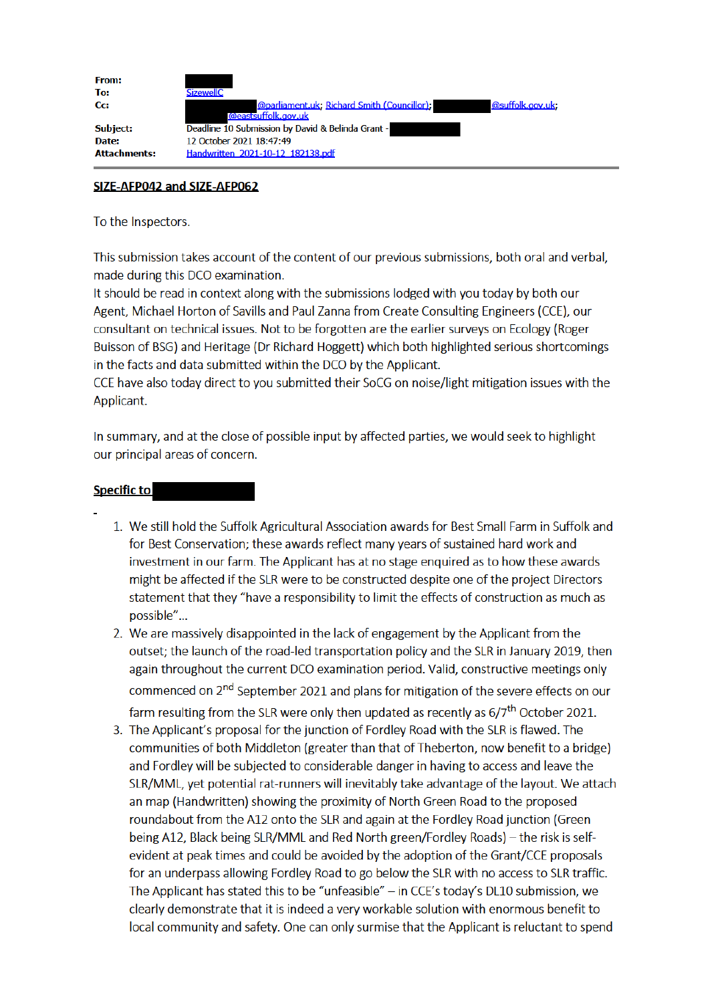| <b>From:</b><br>To: | <b>SizewellC</b>                                                                              |
|---------------------|-----------------------------------------------------------------------------------------------|
| Cc:                 | <b>@parliament.uk: Richard Smith (Councillor):</b><br>@suffolk.gov.uk;<br>@eastsuffolk.gov.uk |
| Subject:            | Deadline 10 Submission by David & Belinda Grant -                                             |
| Date:               | 12 October 2021 18:47:49                                                                      |
| <b>Attachments:</b> | Handwritten 2021-10-12 182138.pdf                                                             |

## SIZE-AFP042 and SIZE-AFP062

## To the Inspectors.

This submission takes account of the content of our previous submissions, both oral and verbal. made during this DCO examination.

It should be read in context along with the submissions lodged with you today by both our Agent, Michael Horton of Savills and Paul Zanna from Create Consulting Engineers (CCE), our consultant on technical issues. Not to be forgotten are the earlier surveys on Ecology (Roger Buisson of BSG) and Heritage (Dr Richard Hoggett) which both highlighted serious shortcomings in the facts and data submitted within the DCO by the Applicant.

CCE have also today direct to you submitted their SoCG on noise/light mitigation issues with the Applicant.

In summary, and at the close of possible input by affected parties, we would seek to highlight our principal areas of concern.

## **Specific to**

- 1. We still hold the Suffolk Agricultural Association awards for Best Small Farm in Suffolk and for Best Conservation; these awards reflect many years of sustained hard work and investment in our farm. The Applicant has at no stage enguired as to how these awards might be affected if the SLR were to be constructed despite one of the project Directors statement that they "have a responsibility to limit the effects of construction as much as possible"...
- 2. We are massively disappointed in the lack of engagement by the Applicant from the outset; the launch of the road-led transportation policy and the SLR in January 2019, then again throughout the current DCO examination period. Valid, constructive meetings only commenced on 2<sup>nd</sup> September 2021 and plans for mitigation of the severe effects on our farm resulting from the SLR were only then updated as recently as  $6/7<sup>th</sup>$  October 2021.
- 3. The Applicant's proposal for the junction of Fordley Road with the SLR is flawed. The communities of both Middleton (greater than that of Theberton, now benefit to a bridge) and Fordley will be subjected to considerable danger in having to access and leave the SLR/MML, yet potential rat-runners will inevitably take advantage of the layout. We attach an map (Handwritten) showing the proximity of North Green Road to the proposed roundabout from the A12 onto the SLR and again at the Fordley Road junction (Green being A12, Black being SLR/MML and Red North green/Fordley Roads) – the risk is selfevident at peak times and could be avoided by the adoption of the Grant/CCE proposals for an underpass allowing Fordley Road to go below the SLR with no access to SLR traffic. The Applicant has stated this to be "unfeasible"  $-$  in CCE's today's DL10 submission, we clearly demonstrate that it is indeed a very workable solution with enormous benefit to local community and safety. One can only surmise that the Applicant is reluctant to spend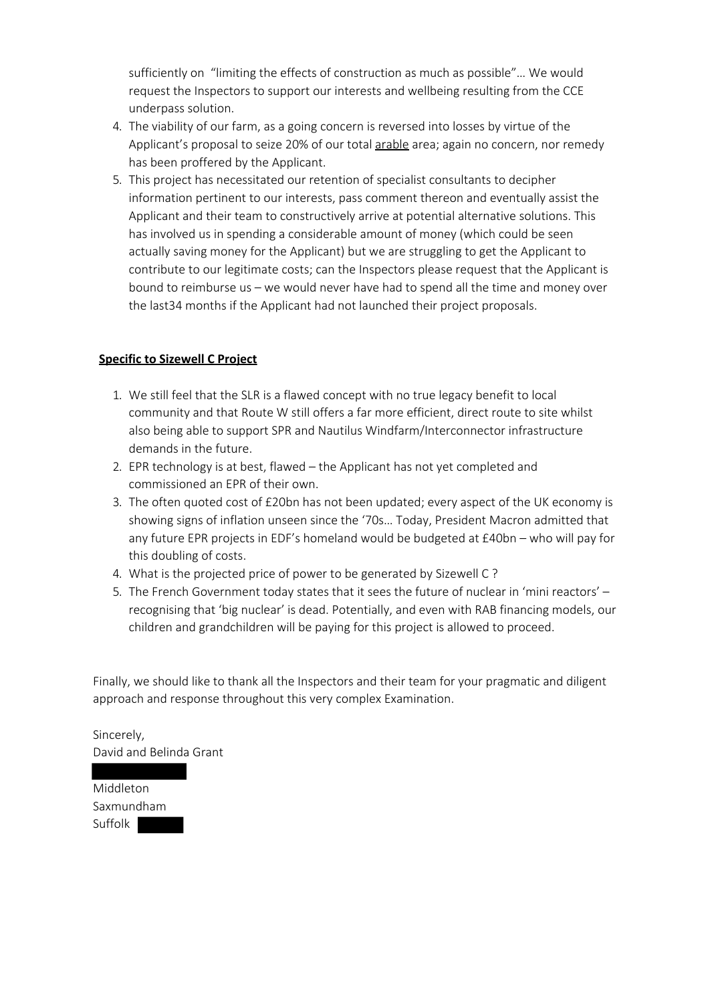sufficiently on "limiting the effects of construction as much as possible"… We would request the Inspectors to support our interests and wellbeing resulting from the CCE underpass solution.

- 4. The viability of our farm, as a going concern is reversed into losses by virtue of the Applicant's proposal to seize 20% of our total arable area; again no concern, nor remedy has been proffered by the Applicant.
- 5. This project has necessitated our retention of specialist consultants to decipher information pertinent to our interests, pass comment thereon and eventually assist the Applicant and their team to constructively arrive at potential alternative solutions. This has involved us in spending a considerable amount of money (which could be seen actually saving money for the Applicant) but we are struggling to get the Applicant to contribute to our legitimate costs; can the Inspectors please request that the Applicant is bound to reimburse us – we would never have had to spend all the time and money over the last34 months if the Applicant had not launched their project proposals.

## **Specific to Sizewell C Project**

- 1. We still feel that the SLR is a flawed concept with no true legacy benefit to local community and that Route W still offers a far more efficient, direct route to site whilst also being able to support SPR and Nautilus Windfarm/Interconnector infrastructure demands in the future.
- 2. EPR technology is at best, flawed the Applicant has not yet completed and commissioned an EPR of their own.
- 3. The often quoted cost of £20bn has not been updated; every aspect of the UK economy is showing signs of inflation unseen since the '70s… Today, President Macron admitted that any future EPR projects in EDF's homeland would be budgeted at £40bn – who will pay for this doubling of costs.
- 4. What is the projected price of power to be generated by Sizewell C ?
- 5. The French Government today states that it sees the future of nuclear in 'mini reactors' recognising that 'big nuclear' is dead. Potentially, and even with RAB financing models, our children and grandchildren will be paying for this project is allowed to proceed.

Finally, we should like to thank all the Inspectors and their team for your pragmatic and diligent approach and response throughout this very complex Examination.

Sincerely, David and Belinda Grant

Middleton Saxmundham Suffolk